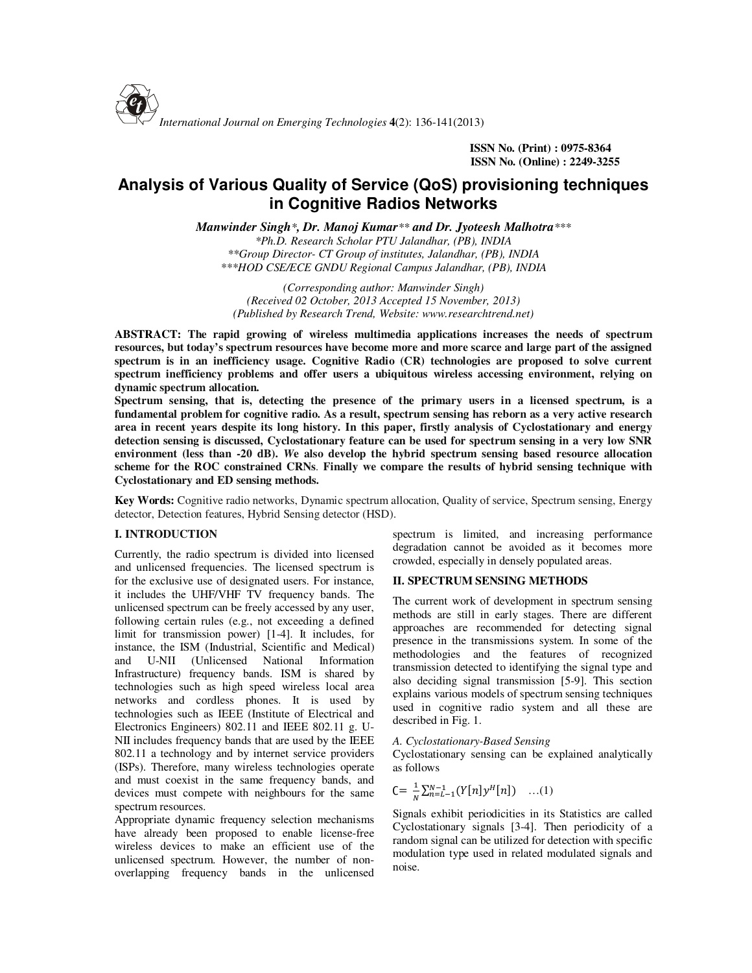

 **ISSN No. (Print) : 0975-8364 ISSN No. (Online) : 2249-3255** 

# **Analysis of Various Quality of Service (QoS) provisioning techniques in Cognitive Radios Networks**

*Manwinder Singh\*, Dr. Manoj Kumar\*\* and Dr. Jyoteesh Malhotra\*\*\**

*\*Ph.D. Research Scholar PTU Jalandhar, (PB), INDIA \*\*Group Director- CT Group of institutes, Jalandhar, (PB), INDIA \*\*\*HOD CSE/ECE GNDU Regional Campus Jalandhar, (PB), INDIA* 

*(Corresponding author: Manwinder Singh) (Received 02 October, 2013 Accepted 15 November, 2013) (Published by Research Trend, Website: www.researchtrend.net)* 

**ABSTRACT: The rapid growing of wireless multimedia applications increases the needs of spectrum resources, but today's spectrum resources have become more and more scarce and large part of the assigned spectrum is in an inefficiency usage. Cognitive Radio (CR) technologies are proposed to solve current spectrum inefficiency problems and offer users a ubiquitous wireless accessing environment, relying on dynamic spectrum allocation.** 

**Spectrum sensing, that is, detecting the presence of the primary users in a licensed spectrum, is a fundamental problem for cognitive radio. As a result, spectrum sensing has reborn as a very active research area in recent years despite its long history. In this paper, firstly analysis of Cyclostationary and energy detection sensing is discussed, Cyclostationary feature can be used for spectrum sensing in a very low SNR environment (less than -20 dB).** *W***e also develop the hybrid spectrum sensing based resource allocation scheme for the ROC constrained CRNs**. **Finally we compare the results of hybrid sensing technique with Cyclostationary and ED sensing methods.**

**Key Words:** Cognitive radio networks, Dynamic spectrum allocation, Quality of service, Spectrum sensing, Energy detector, Detection features, Hybrid Sensing detector (HSD).

## **I. INTRODUCTION**

Currently, the radio spectrum is divided into licensed and unlicensed frequencies. The licensed spectrum is for the exclusive use of designated users. For instance, it includes the UHF/VHF TV frequency bands. The unlicensed spectrum can be freely accessed by any user, following certain rules (e.g., not exceeding a defined limit for transmission power) [1-4]. It includes, for instance, the ISM (Industrial, Scientific and Medical) and U-NII (Unlicensed National Information Infrastructure) frequency bands. ISM is shared by technologies such as high speed wireless local area networks and cordless phones. It is used by technologies such as IEEE (Institute of Electrical and Electronics Engineers) 802.11 and IEEE 802.11 g. U-NII includes frequency bands that are used by the IEEE 802.11 a technology and by internet service providers (ISPs). Therefore, many wireless technologies operate and must coexist in the same frequency bands, and devices must compete with neighbours for the same spectrum resources.

Appropriate dynamic frequency selection mechanisms have already been proposed to enable license-free wireless devices to make an efficient use of the unlicensed spectrum. However, the number of nonoverlapping frequency bands in the unlicensed spectrum is limited, and increasing performance degradation cannot be avoided as it becomes more crowded, especially in densely populated areas.

## **II. SPECTRUM SENSING METHODS**

The current work of development in spectrum sensing methods are still in early stages. There are different approaches are recommended for detecting signal presence in the transmissions system. In some of the methodologies and the features of recognized transmission detected to identifying the signal type and also deciding signal transmission [5-9]. This section explains various models of spectrum sensing techniques used in cognitive radio system and all these are described in Fig. 1.

#### *A. Cyclostationary-Based Sensing*

Cyclostationary sensing can be explained analytically as follows

$$
C = \frac{1}{N} \sum_{n=L-1}^{N-1} (Y[n]y^{H}[n]) \quad ...(1)
$$

Signals exhibit periodicities in its Statistics are called Cyclostationary signals [3-4]. Then periodicity of a random signal can be utilized for detection with specific modulation type used in related modulated signals and noise.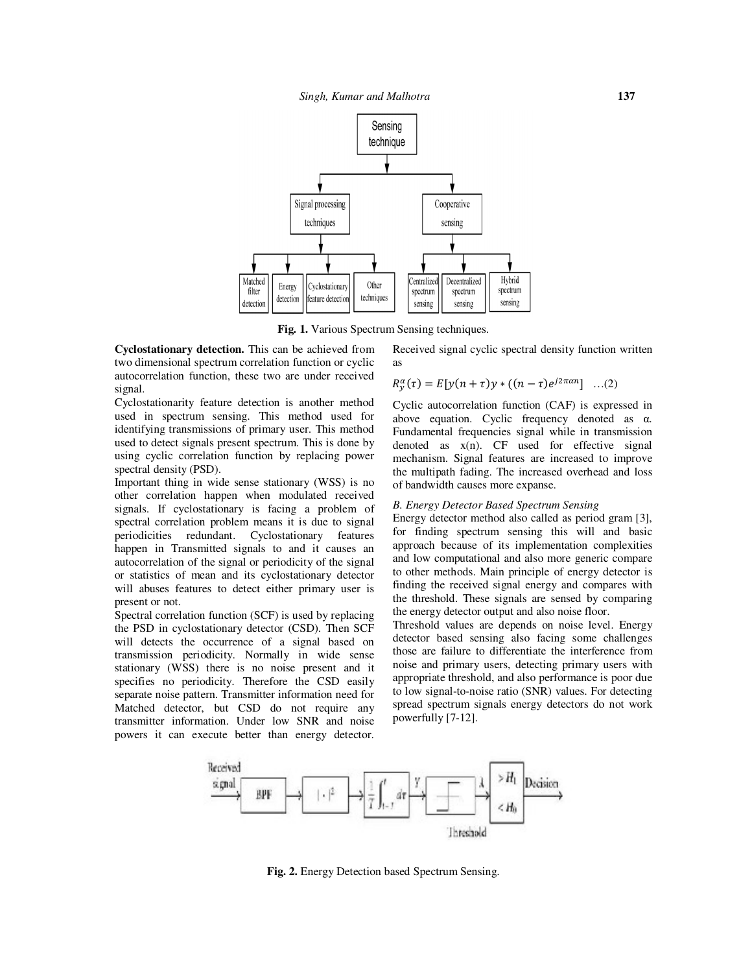

**Fig. 1.** Various Spectrum Sensing techniques.

**Cyclostationary detection.** This can be achieved from two dimensional spectrum correlation function or cyclic autocorrelation function, these two are under received signal.

Cyclostationarity feature detection is another method used in spectrum sensing. This method used for identifying transmissions of primary user. This method used to detect signals present spectrum. This is done by using cyclic correlation function by replacing power spectral density (PSD).

Important thing in wide sense stationary (WSS) is no other correlation happen when modulated received signals. If cyclostationary is facing a problem of spectral correlation problem means it is due to signal periodicities redundant. Cyclostationary features happen in Transmitted signals to and it causes an autocorrelation of the signal or periodicity of the signal or statistics of mean and its cyclostationary detector will abuses features to detect either primary user is present or not.

Spectral correlation function (SCF) is used by replacing the PSD in cyclostationary detector (CSD). Then SCF will detects the occurrence of a signal based on transmission periodicity. Normally in wide sense stationary (WSS) there is no noise present and it specifies no periodicity. Therefore the CSD easily separate noise pattern. Transmitter information need for Matched detector, but CSD do not require any transmitter information. Under low SNR and noise powers it can execute better than energy detector. Received signal cyclic spectral density function written as

$$
R_{y}^{\alpha}(\tau) = E[y(n + \tau)y * ((n - \tau)e^{j2\pi\alpha n}] \dots (2)
$$

Cyclic autocorrelation function (CAF) is expressed in above equation. Cyclic frequency denoted as α. Fundamental frequencies signal while in transmission denoted as  $x(n)$ . CF used for effective signal mechanism. Signal features are increased to improve the multipath fading. The increased overhead and loss of bandwidth causes more expanse.

#### *B. Energy Detector Based Spectrum Sensing*

Energy detector method also called as period gram [3], for finding spectrum sensing this will and basic approach because of its implementation complexities and low computational and also more generic compare to other methods. Main principle of energy detector is finding the received signal energy and compares with the threshold. These signals are sensed by comparing the energy detector output and also noise floor.

Threshold values are depends on noise level. Energy detector based sensing also facing some challenges those are failure to differentiate the interference from noise and primary users, detecting primary users with appropriate threshold, and also performance is poor due to low signal-to-noise ratio (SNR) values. For detecting spread spectrum signals energy detectors do not work powerfully [7-12].



**Fig. 2.** Energy Detection based Spectrum Sensing.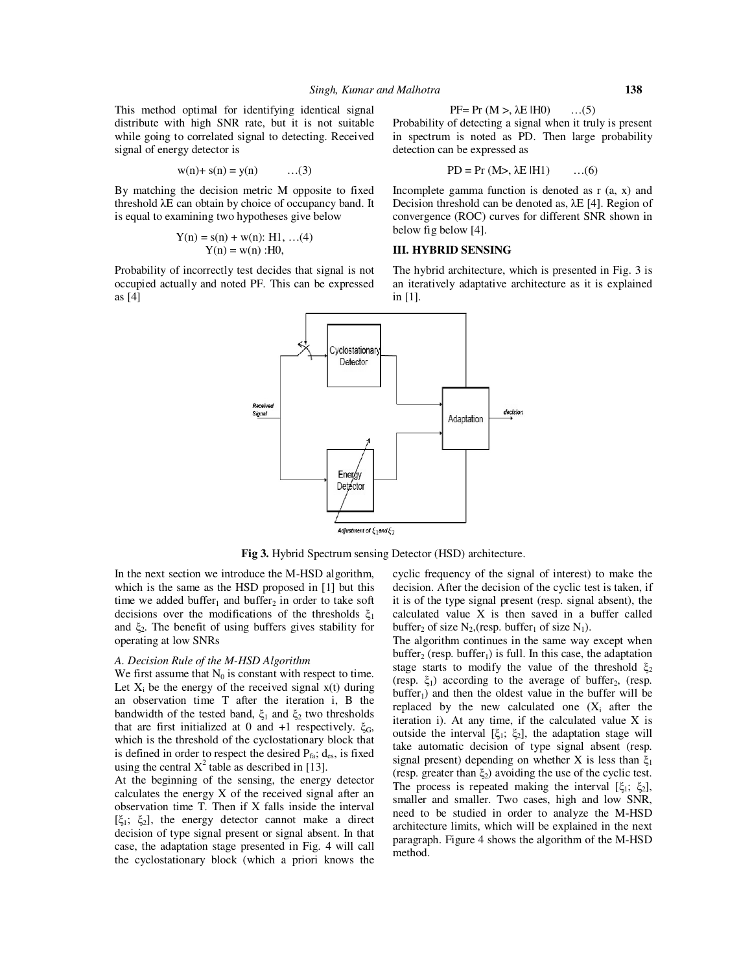This method optimal for identifying identical signal distribute with high SNR rate, but it is not suitable while going to correlated signal to detecting. Received signal of energy detector is

$$
w(n)+s(n) = y(n)
$$
 ... (3)

By matching the decision metric M opposite to fixed threshold λE can obtain by choice of occupancy band. It is equal to examining two hypotheses give below

$$
Y(n) = s(n) + w(n): H1, ... (4)
$$
  
 
$$
Y(n) = w(n): H0,
$$

Probability of incorrectly test decides that signal is not occupied actually and noted PF. This can be expressed as [4]

Probability of detecting a signal when it truly is present in spectrum is noted as PD. Then large probability detection can be expressed as

$$
PD = Pr (M>, \lambda E | H1) \qquad ...(6)
$$

Incomplete gamma function is denoted as r (a, x) and Decision threshold can be denoted as, λE [4]. Region of convergence (ROC) curves for different SNR shown in below fig below [4].

## **III. HYBRID SENSING**

The hybrid architecture, which is presented in Fig. 3 is an iteratively adaptative architecture as it is explained in [1].



**Fig 3.** Hybrid Spectrum sensing Detector (HSD) architecture.

In the next section we introduce the M-HSD algorithm, which is the same as the HSD proposed in [1] but this time we added buffer<sub>1</sub> and buffer<sub>2</sub> in order to take soft decisions over the modifications of the thresholds  $\xi_1$ and  $\xi_2$ . The benefit of using buffers gives stability for operating at low SNRs

#### *A. Decision Rule of the M-HSD Algorithm*

We first assume that  $N_0$  is constant with respect to time. Let  $X_i$  be the energy of the received signal  $x(t)$  during an observation time T after the iteration i, B the bandwidth of the tested band,  $\xi_1$  and  $\xi_2$  two thresholds that are first initialized at 0 and +1 respectively.  $ξ<sub>G</sub>$ , which is the threshold of the cyclostationary block that is defined in order to respect the desired  $P_{fa}$ ;  $d_{es}$ , is fixed using the central  $X^2$  table as described in [13].

At the beginning of the sensing, the energy detector calculates the energy X of the received signal after an observation time T. Then if X falls inside the interval  $[ξ<sub>1</sub>; ξ<sub>2</sub>]$ , the energy detector cannot make a direct decision of type signal present or signal absent. In that case, the adaptation stage presented in Fig. 4 will call the cyclostationary block (which a priori knows the

cyclic frequency of the signal of interest) to make the decision. After the decision of the cyclic test is taken, if it is of the type signal present (resp. signal absent), the calculated value X is then saved in a buffer called buffer<sub>2</sub> of size  $N_2$ , (resp. buffer<sub>1</sub> of size  $N_1$ ).

The algorithm continues in the same way except when  $buffer_2$  (resp. buffer<sub>1</sub>) is full. In this case, the adaptation stage starts to modify the value of the threshold  $\xi_2$ (resp.  $\xi_1$ ) according to the average of buffer<sub>2</sub>, (resp.  $buffer_1$ ) and then the oldest value in the buffer will be replaced by the new calculated one  $(X_i$  after the iteration i). At any time, if the calculated value X is outside the interval  $[\xi_1; \xi_2]$ , the adaptation stage will take automatic decision of type signal absent (resp. signal present) depending on whether X is less than  $\xi_1$ (resp. greater than  $\xi_2$ ) avoiding the use of the cyclic test. The process is repeated making the interval  $[\xi_1; \xi_2]$ , smaller and smaller. Two cases, high and low SNR, need to be studied in order to analyze the M-HSD architecture limits, which will be explained in the next paragraph. Figure 4 shows the algorithm of the M-HSD method.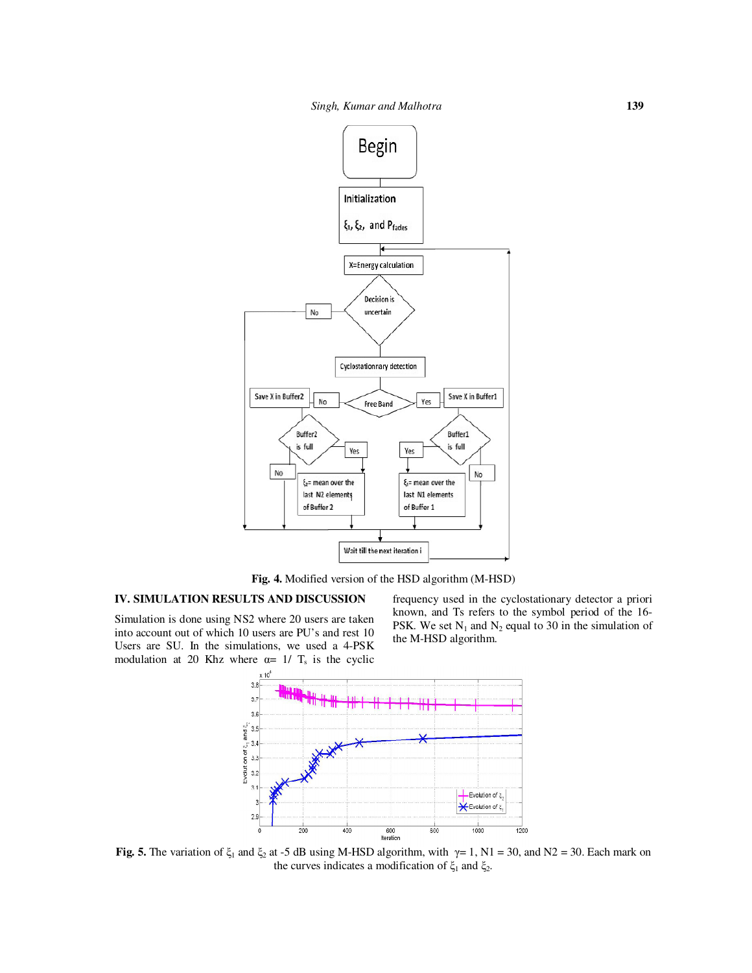

**Fig. 4.** Modified version of the HSD algorithm (M-HSD)

## **IV. SIMULATION RESULTS AND DISCUSSION**

Simulation is done using NS2 where 20 users are taken into account out of which 10 users are PU's and rest 10 Users are SU. In the simulations, we used a 4-PSK modulation at 20 Khz where  $\alpha = 1/T_s$  is the cyclic

frequency used in the cyclostationary detector a priori known, and Ts refers to the symbol period of the 16- PSK. We set  $N_1$  and  $N_2$  equal to 30 in the simulation of the M-HSD algorithm.



**Fig. 5.** The variation of  $\xi_1$  and  $\xi_2$  at -5 dB using M-HSD algorithm, with  $\gamma = 1$ , N1 = 30, and N2 = 30. Each mark on the curves indicates a modification of  $\xi_1$  and  $\xi_2$ .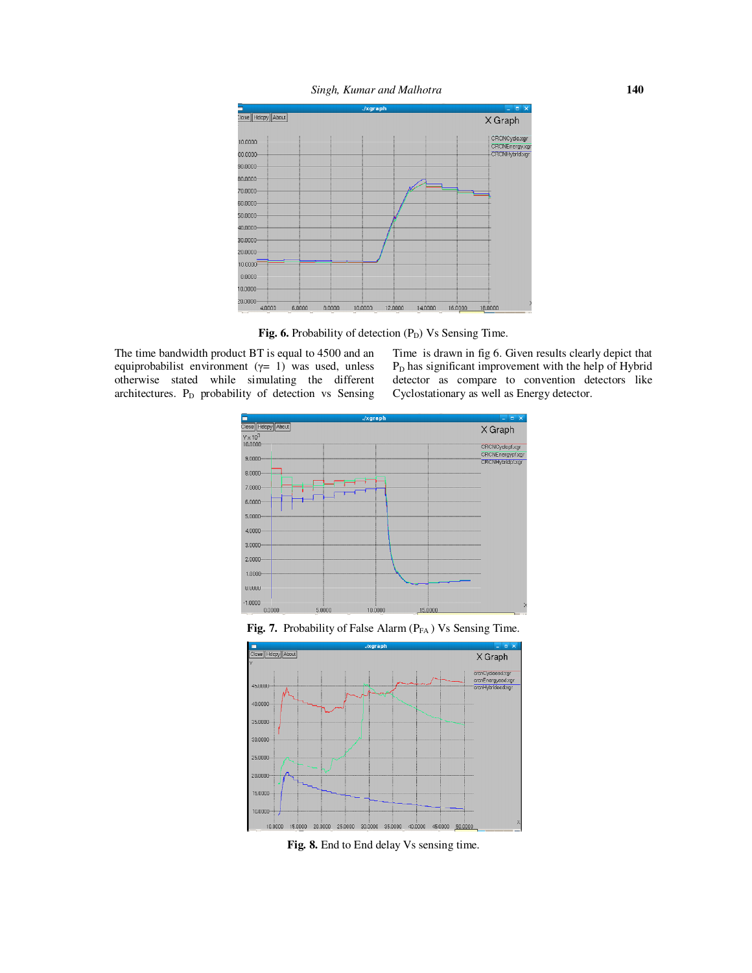



Fig. 6. Probability of detection (P<sub>D</sub>) Vs Sensing Time.

The time bandwidth product BT is equal to 4500 and an equiprobabilist environment (γ= 1) was used, unless otherwise stated while simulating the different architectures. P<sub>D</sub> probability of detection vs Sensing Time is drawn in fig 6. Given results clearly depict that P<sub>D</sub> has significant improvement with the help of Hybrid detector as compare to convention detectors like Cyclostationary as well as Energy detector.



Fig. 7. Probability of False Alarm (P<sub>FA</sub>) Vs Sensing Time.



**Fig. 8.** End to End delay Vs sensing time.